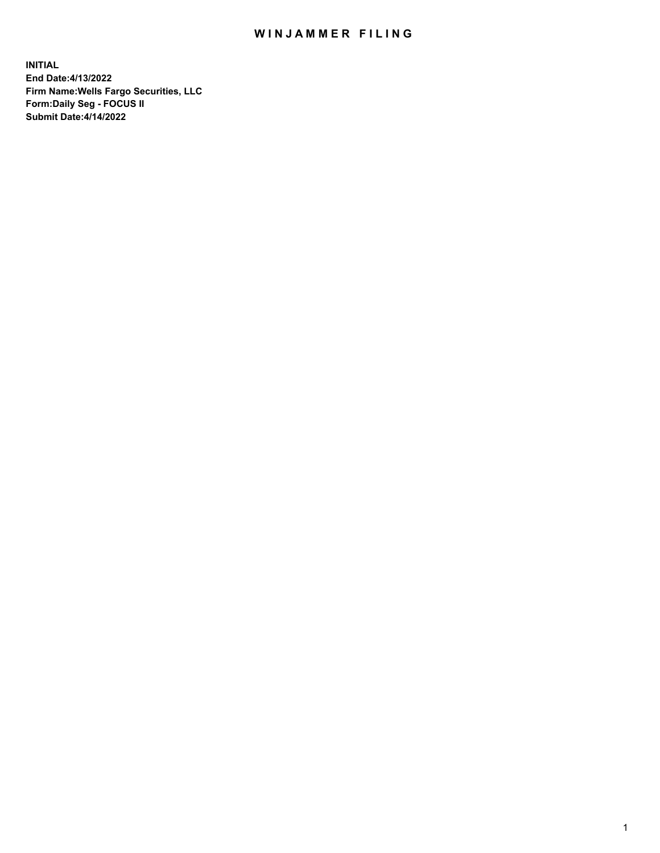## WIN JAMMER FILING

**INITIAL End Date:4/13/2022 Firm Name:Wells Fargo Securities, LLC Form:Daily Seg - FOCUS II Submit Date:4/14/2022**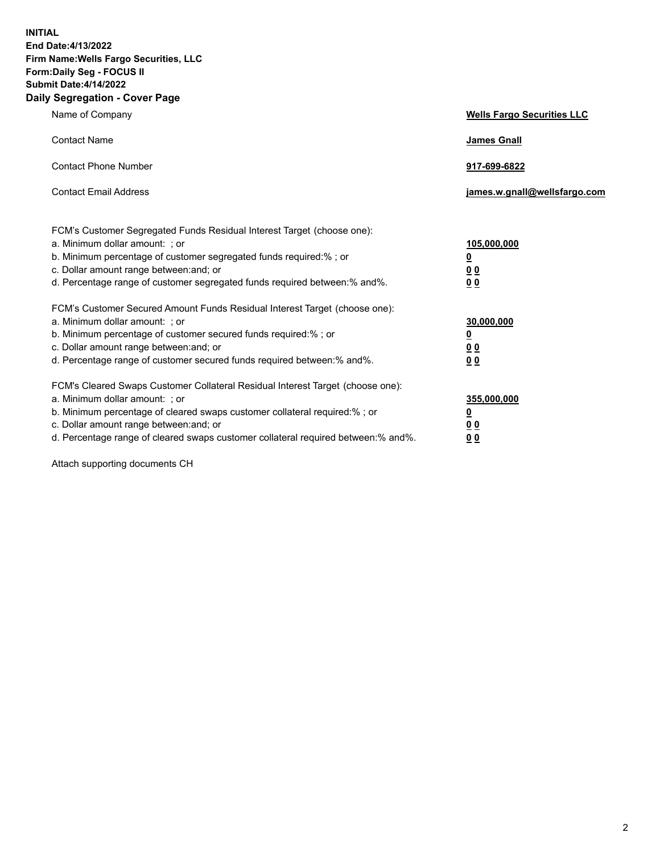**INITIAL End Date:4/13/2022 Firm Name:Wells Fargo Securities, LLC Form:Daily Seg - FOCUS II Submit Date:4/14/2022 Daily Segregation - Cover Page**

| Name of Company                                                                                                                                                                                                                                                                                                                | <b>Wells Fargo Securities LLC</b>                          |
|--------------------------------------------------------------------------------------------------------------------------------------------------------------------------------------------------------------------------------------------------------------------------------------------------------------------------------|------------------------------------------------------------|
| <b>Contact Name</b>                                                                                                                                                                                                                                                                                                            | <b>James Gnall</b>                                         |
| <b>Contact Phone Number</b>                                                                                                                                                                                                                                                                                                    | 917-699-6822                                               |
| <b>Contact Email Address</b>                                                                                                                                                                                                                                                                                                   | james.w.gnall@wellsfargo.com                               |
| FCM's Customer Segregated Funds Residual Interest Target (choose one):<br>a. Minimum dollar amount: ; or<br>b. Minimum percentage of customer segregated funds required:% ; or<br>c. Dollar amount range between: and; or<br>d. Percentage range of customer segregated funds required between:% and%.                         | 105,000,000<br><u>0</u><br>0 <sub>0</sub><br>00            |
| FCM's Customer Secured Amount Funds Residual Interest Target (choose one):<br>a. Minimum dollar amount: ; or<br>b. Minimum percentage of customer secured funds required:%; or<br>c. Dollar amount range between: and; or<br>d. Percentage range of customer secured funds required between:% and%.                            | 30,000,000<br><u>0</u><br>0 <sub>0</sub><br>0 <sub>0</sub> |
| FCM's Cleared Swaps Customer Collateral Residual Interest Target (choose one):<br>a. Minimum dollar amount: ; or<br>b. Minimum percentage of cleared swaps customer collateral required:% ; or<br>c. Dollar amount range between: and; or<br>d. Percentage range of cleared swaps customer collateral required between:% and%. | 355,000,000<br><u>0</u><br>00<br>00                        |

Attach supporting documents CH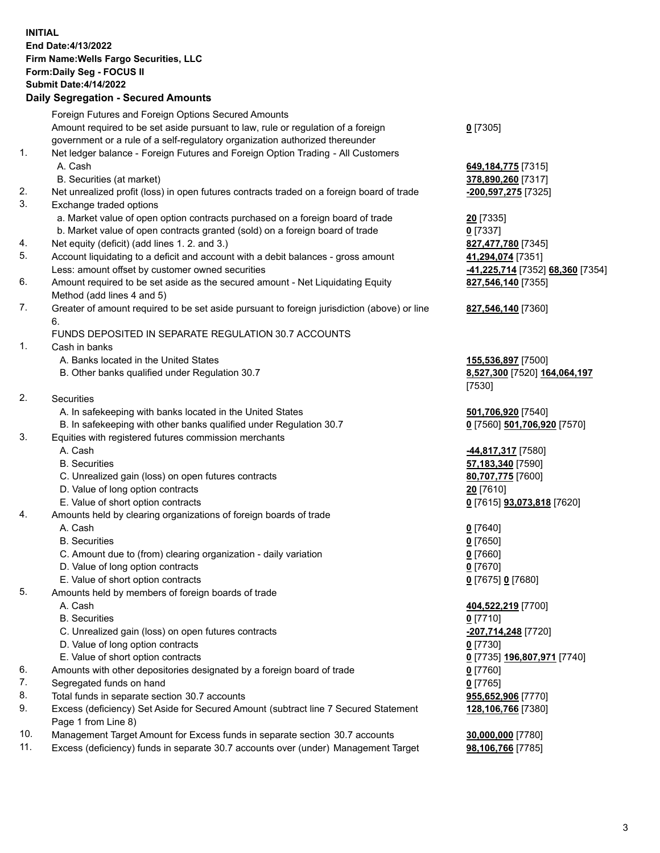**INITIAL End Date:4/13/2022 Firm Name:Wells Fargo Securities, LLC Form:Daily Seg - FOCUS II Submit Date:4/14/2022**

## **Daily Segregation - Secured Amounts**

|     | Foreign Futures and Foreign Options Secured Amounts                                                        |                                   |
|-----|------------------------------------------------------------------------------------------------------------|-----------------------------------|
|     | Amount required to be set aside pursuant to law, rule or regulation of a foreign                           | $0$ [7305]                        |
|     | government or a rule of a self-regulatory organization authorized thereunder                               |                                   |
| 1.  | Net ledger balance - Foreign Futures and Foreign Option Trading - All Customers                            |                                   |
|     | A. Cash                                                                                                    | 649, 184, 775 [7315]              |
|     | B. Securities (at market)                                                                                  | 378,890,260 [7317]                |
| 2.  | Net unrealized profit (loss) in open futures contracts traded on a foreign board of trade                  | -200,597,275 [7325]               |
| 3.  | Exchange traded options                                                                                    |                                   |
|     | a. Market value of open option contracts purchased on a foreign board of trade                             | <b>20</b> [7335]                  |
|     | b. Market value of open contracts granted (sold) on a foreign board of trade                               | $0$ [7337]                        |
| 4.  | Net equity (deficit) (add lines 1. 2. and 3.)                                                              | 827,477,780 [7345]                |
| 5.  | Account liquidating to a deficit and account with a debit balances - gross amount                          | 41,294,074 [7351]                 |
|     | Less: amount offset by customer owned securities                                                           | -41,225,714 [7352] 68,360 [7354]  |
| 6.  | Amount required to be set aside as the secured amount - Net Liquidating Equity                             | 827,546,140 [7355]                |
|     | Method (add lines 4 and 5)                                                                                 |                                   |
| 7.  | Greater of amount required to be set aside pursuant to foreign jurisdiction (above) or line                | 827,546,140 [7360]                |
|     | 6.                                                                                                         |                                   |
|     | FUNDS DEPOSITED IN SEPARATE REGULATION 30.7 ACCOUNTS                                                       |                                   |
| 1.  | Cash in banks                                                                                              |                                   |
|     | A. Banks located in the United States                                                                      | 155,536,897 [7500]                |
|     | B. Other banks qualified under Regulation 30.7                                                             | 8,527,300 [7520] 164,064,197      |
|     |                                                                                                            | [7530]                            |
| 2.  | <b>Securities</b>                                                                                          |                                   |
|     | A. In safekeeping with banks located in the United States                                                  | 501,706,920 [7540]                |
|     | B. In safekeeping with other banks qualified under Regulation 30.7                                         | 0 [7560] 501,706,920 [7570]       |
| 3.  | Equities with registered futures commission merchants                                                      |                                   |
|     | A. Cash                                                                                                    | 44,817,317 [7580]                 |
|     | <b>B.</b> Securities                                                                                       | 57,183,340 [7590]                 |
|     | C. Unrealized gain (loss) on open futures contracts                                                        | 80,707,775 [7600]                 |
|     | D. Value of long option contracts                                                                          | 20 [7610]                         |
|     | E. Value of short option contracts                                                                         | 0 [7615] <b>93,073,818</b> [7620] |
| 4.  | Amounts held by clearing organizations of foreign boards of trade                                          |                                   |
|     | A. Cash                                                                                                    | $0$ [7640]                        |
|     | <b>B.</b> Securities                                                                                       | <u>0</u> [7650]                   |
|     | C. Amount due to (from) clearing organization - daily variation                                            | $0$ [7660]                        |
|     | D. Value of long option contracts                                                                          | $0$ [7670]                        |
|     | E. Value of short option contracts                                                                         | 0 [7675] 0 [7680]                 |
| 5.  | Amounts held by members of foreign boards of trade                                                         |                                   |
|     | A. Cash                                                                                                    | 404,522,219 [7700]                |
|     | <b>B.</b> Securities                                                                                       | 0 [7710]                          |
|     | C. Unrealized gain (loss) on open futures contracts                                                        | -207,714,248 [7720]               |
|     | D. Value of long option contracts                                                                          | $0$ [7730]                        |
|     | E. Value of short option contracts                                                                         | 0 [7735] 196,807,971 [7740]       |
| 6.  | Amounts with other depositories designated by a foreign board of trade                                     | $0$ [7760]                        |
| 7.  | Segregated funds on hand                                                                                   | $0$ [7765]                        |
| 8.  | Total funds in separate section 30.7 accounts                                                              | 955,652,906 [7770]                |
| 9.  | Excess (deficiency) Set Aside for Secured Amount (subtract line 7 Secured Statement<br>Page 1 from Line 8) | 128,106,766 [7380]                |
| 10. | Management Target Amount for Excess funds in separate section 30.7 accounts                                | 30,000,000 [7780]                 |
|     |                                                                                                            |                                   |

11. Excess (deficiency) funds in separate 30.7 accounts over (under) Management Target **98,106,766** [7785]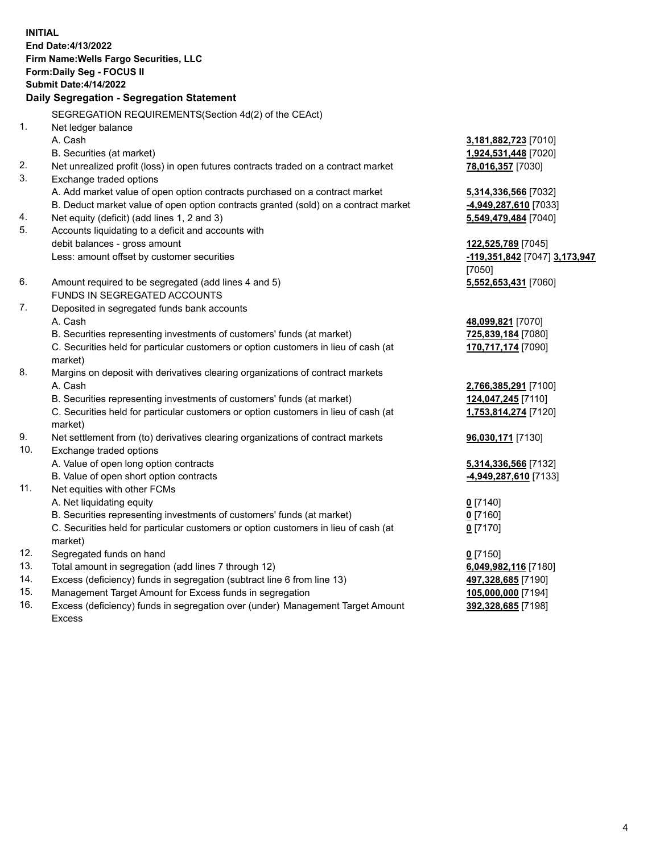**INITIAL End Date:4/13/2022 Firm Name:Wells Fargo Securities, LLC Form:Daily Seg - FOCUS II Submit Date:4/14/2022 Daily Segregation - Segregation Statement** SEGREGATION REQUIREMENTS(Section 4d(2) of the CEAct) 1. Net ledger balance A. Cash **3,181,882,723** [7010] B. Securities (at market) **1,924,531,448** [7020] 2. Net unrealized profit (loss) in open futures contracts traded on a contract market **78,016,357** [7030] 3. Exchange traded options A. Add market value of open option contracts purchased on a contract market **5,314,336,566** [7032] B. Deduct market value of open option contracts granted (sold) on a contract market **-4,949,287,610** [7033] 4. Net equity (deficit) (add lines 1, 2 and 3) **5,549,479,484** [7040] 5. Accounts liquidating to a deficit and accounts with debit balances - gross amount **122,525,789** [7045] Less: amount offset by customer securities **-119,351,842** [7047] **3,173,947** [7050] 6. Amount required to be segregated (add lines 4 and 5) **5,552,653,431** [7060] FUNDS IN SEGREGATED ACCOUNTS 7. Deposited in segregated funds bank accounts A. Cash **48,099,821** [7070] B. Securities representing investments of customers' funds (at market) **725,839,184** [7080] C. Securities held for particular customers or option customers in lieu of cash (at market) **170,717,174** [7090] 8. Margins on deposit with derivatives clearing organizations of contract markets A. Cash **2,766,385,291** [7100] B. Securities representing investments of customers' funds (at market) **124,047,245** [7110] C. Securities held for particular customers or option customers in lieu of cash (at market) **1,753,814,274** [7120] 9. Net settlement from (to) derivatives clearing organizations of contract markets **96,030,171** [7130] 10. Exchange traded options A. Value of open long option contracts **5,314,336,566** [7132] B. Value of open short option contracts **-4,949,287,610** [7133]

- 
- 11. Net equities with other FCMs
	- A. Net liquidating equity **0** [7140]
	- B. Securities representing investments of customers' funds (at market) **0** [7160]
	- C. Securities held for particular customers or option customers in lieu of cash (at market)
- 12. Segregated funds on hand **0** [7150]
- 13. Total amount in segregation (add lines 7 through 12) **6,049,982,116** [7180]
- 14. Excess (deficiency) funds in segregation (subtract line 6 from line 13) **497,328,685** [7190]
- 15. Management Target Amount for Excess funds in segregation **105,000,000** [7194]
- 16. Excess (deficiency) funds in segregation over (under) Management Target Amount Excess

**0** [7170]

**392,328,685** [7198]